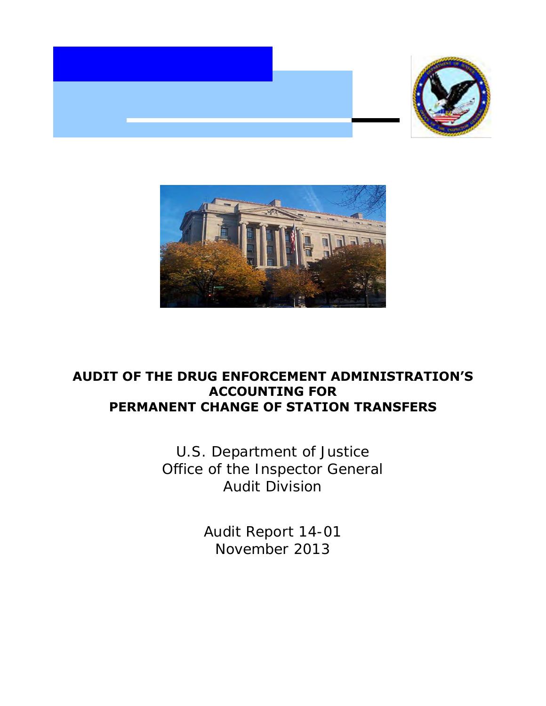



# **AUDIT OF THE DRUG ENFORCEMENT ADMINISTRATION'S ACCOUNTING FOR PERMANENT CHANGE OF STATION TRANSFERS**

U.S. Department of Justice Office of the Inspector General Audit Division

> Audit Report 14-01 November 2013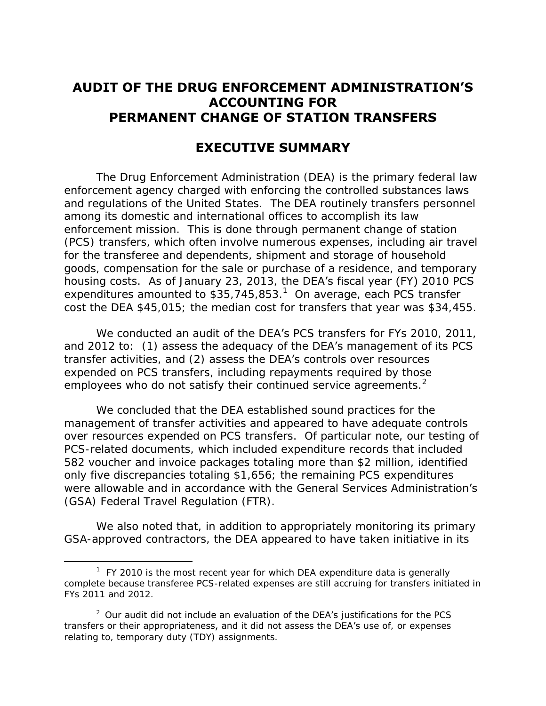# **ACCOUNTING FOR AUDIT OF THE DRUG ENFORCEMENT ADMINISTRATION'S PERMANENT CHANGE OF STATION TRANSFERS**

# **EXECUTIVE SUMMARY**

 and regulations of the United States. The DEA routinely transfers personnel housing costs. As of January 23, 2013, the DEA's fiscal year (FY) 2010 PCS expenditures amounted to  $$35,745,853<sup>1</sup>$  On average, each PCS transfer cost the DEA \$45,015; the median cost for transfers that year was \$34,455. The Drug Enforcement Administration (DEA) is the primary federal law enforcement agency charged with enforcing the controlled substances laws among its domestic and international offices to accomplish its law enforcement mission. This is done through permanent change of station (PCS) transfers, which often involve numerous expenses, including air travel for the transferee and dependents, shipment and storage of household goods, compensation for the sale or purchase of a residence, and temporary

We conducted an audit of the DEA's PCS transfers for FYs 2010, 2011, and 2012 to:  $(1)$  assess the adequacy of the DEA's management of its PCS transfer activities, and (2) assess the DEA's controls over resources employees who do not satisfy their continued service agreements.<sup>2</sup> expended on PCS transfers, including repayments required by those

 We concluded that the DEA established sound practices for the management of transfer activities and appeared to have adequate controls over resources expended on PCS transfers. Of particular note, our testing of PCS-related documents, which included expenditure records that included only five discrepancies totaling \$1,656; the remaining PCS expenditures were allowable and in accordance with the General Services Administration's (GSA) Federal Travel Regulation (FTR). 582 voucher and invoice packages totaling more than \$2 million, identified

 GSA-approved contractors, the DEA appeared to have taken initiative in its We also noted that, in addition to appropriately monitoring its primary

 $\overline{a}$ 

 $1$  FY 2010 is the most recent year for which DEA expenditure data is generally FYs 2011 and 2012. complete because transferee PCS-related expenses are still accruing for transfers initiated in

FYs 2011 and 2012.<br><sup>2</sup> Our audit did not include an evaluation of **the DEA's** justifications for the PCS transfers or their appropriateness, and it did not assess the DEA's use of, or expenses relating to, temporary duty (TDY) assignments.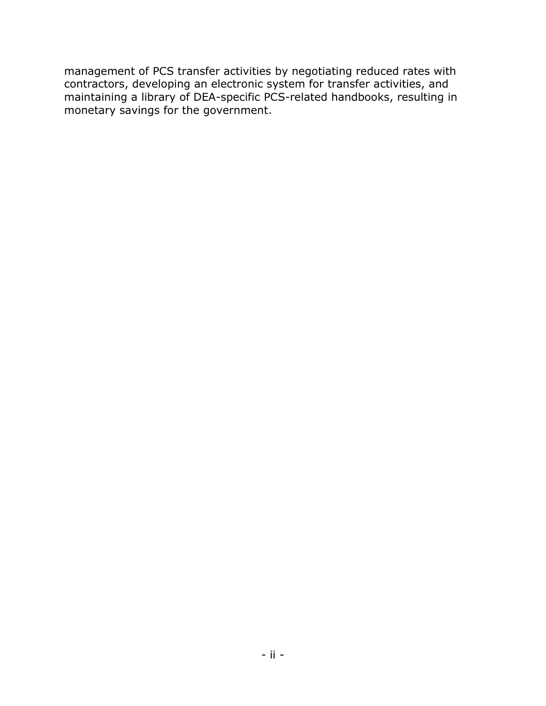management of PCS transfer activities by negotiating reduced rates with contractors, developing an electronic system for transfer activities, and maintaining a library of DEA-specific PCS-related handbooks, resulting in monetary savings for the government.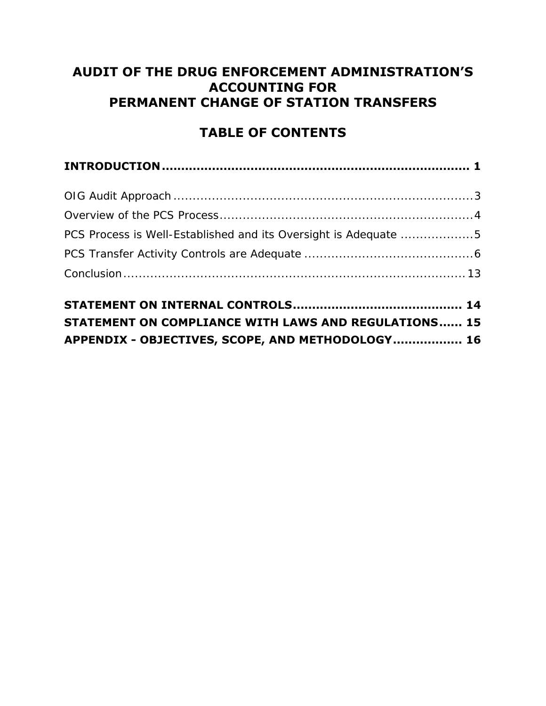# **ACCOUNTING FOR AUDIT OF THE DRUG ENFORCEMENT ADMINISTRATION'S PERMANENT CHANGE OF STATION TRANSFERS**

# **TABLE OF CONTENTS**

| PCS Process is Well-Established and its Oversight is Adequate 5 |
|-----------------------------------------------------------------|
|                                                                 |
|                                                                 |
|                                                                 |

| STATEMENT ON COMPLIANCE WITH LAWS AND REGULATIONS 15 |  |
|------------------------------------------------------|--|
| APPENDIX - OBJECTIVES, SCOPE, AND METHODOLOGY 16     |  |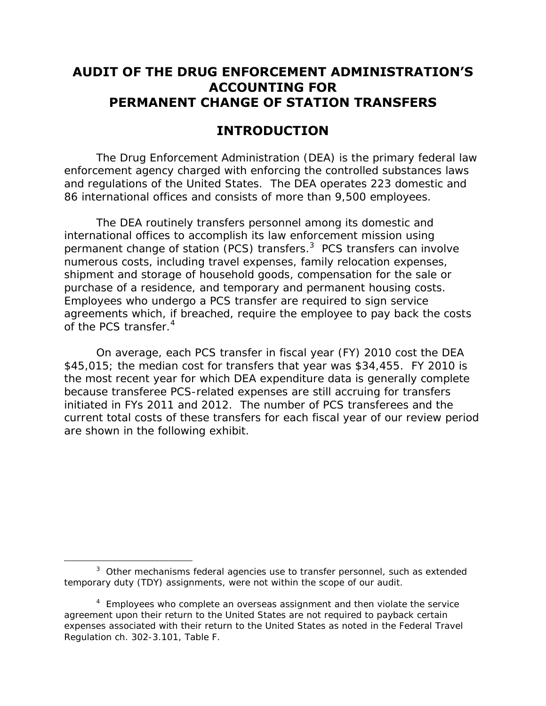# **ACCOUNTING FOR AUDIT OF THE DRUG ENFORCEMENT ADMINISTRATION'S PERMANENT CHANGE OF STATION TRANSFERS**

# **INTRODUCTION**

<span id="page-4-0"></span> and regulations of the United States. The DEA operates 223 domestic and 86 international offices and consists of more than 9,500 employees. The Drug Enforcement Administration (DEA) is the primary federal law enforcement agency charged with enforcing the controlled substances laws

 international offices to accomplish its law enforcement mission using permanent change of station (PCS) transfers.<sup>3</sup> PCS transfers can involve numerous costs, including travel expenses, family relocation expenses, purchase of a residence, and temporary and permanent housing costs. agreements which, if breached, require the employee to pay back the costs of the PCS transfer.<sup>4</sup> The DEA routinely transfers personnel among its domestic and shipment and storage of household goods, compensation for the sale or Employees who undergo a PCS transfer are required to sign service

 On average, each PCS transfer in fiscal year (FY) 2010 cost the DEA \$45,015; the median cost for transfers that year was \$34,455. FY 2010 is because transferee PCS-related expenses are still accruing for transfers initiated in FYs 2011 and 2012. The number of PCS transferees and the current total costs of these transfers for each fiscal year of our review period are shown in the following exhibit. the most recent year for which DEA expenditure data is generally complete

 $\overline{a}$ 

 $3$  Other mechanisms federal agencies use to transfer personnel, such as extended temporary duty (TDY) assignments, were not within the scope of our audit.

 $4$  Employees who complete an overseas assignment and then violate the service agreement upon their return to the United States are not required to payback certain expenses associated with their return to the United States as noted in the Federal Travel Regulation ch. 302-3.101, Table F.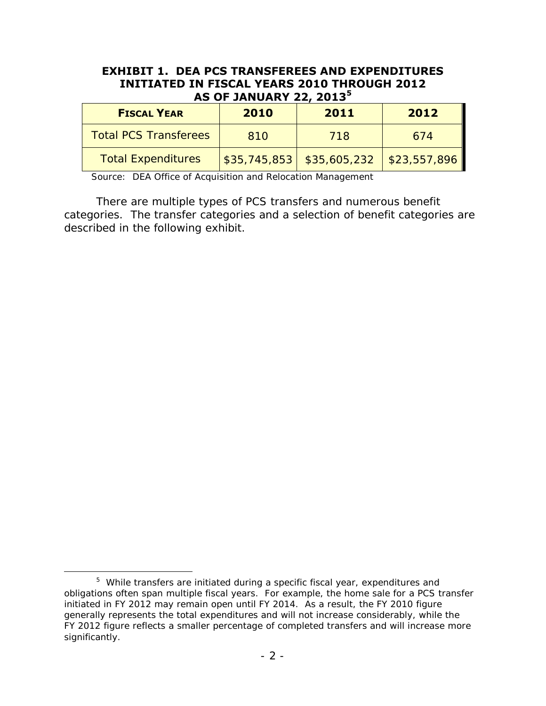#### **EXHIBIT 1. DEA PCS TRANSFEREES AND EXPENDITURES INITIATED IN FISCAL YEARS 2010 THROUGH 2012 AS OF JANUARY 22, 2013<sup>5</sup>**

| <b>FISCAL YEAR</b>           | 2010 | 2011                                          | 2012 |  |  |
|------------------------------|------|-----------------------------------------------|------|--|--|
| <b>Total PCS Transferees</b> | 810  | 718                                           | 674  |  |  |
| <b>Total Expenditures</b>    |      | $$35,745,853$   $$35,605,232$   $$23,557,896$ |      |  |  |

Source: DEA Office of Acquisition and Relocation Management

 categories. The transfer categories and a selection of benefit categories are described in the following exhibit. There are multiple types of PCS transfers and numerous benefit

 $\overline{a}$ 

 $5$  While transfers are initiated during a specific fiscal year, expenditures and obligations often span multiple fiscal years. For example, the home sale for a PCS transfer initiated in FY 2012 may remain open until FY 2014. As a result, the FY 2010 figure generally represents the total expenditures and will not increase considerably, while the FY 2012 figure reflects a smaller percentage of completed transfers and will increase more significantly.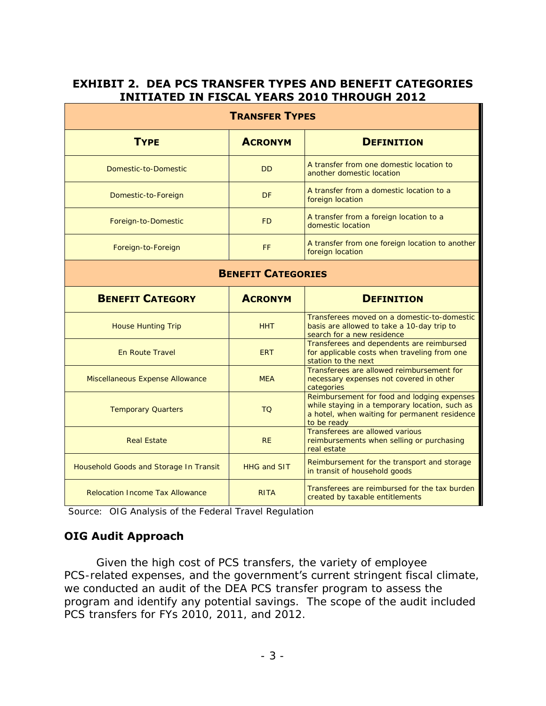### **EXHIBIT 2. DEA PCS TRANSFER TYPES AND BENEFIT CATEGORIES INITIATED IN FISCAL YEARS 2010 THROUGH 2012**

| <b>TRANSFER TYPES</b>                  |                |                                                                                                                                                               |  |  |  |  |  |
|----------------------------------------|----------------|---------------------------------------------------------------------------------------------------------------------------------------------------------------|--|--|--|--|--|
| <b>TYPE</b>                            | <b>ACRONYM</b> | <b>DEFINITION</b>                                                                                                                                             |  |  |  |  |  |
| Domestic-to-Domestic                   | <b>DD</b>      | A transfer from one domestic location to<br>another domestic location                                                                                         |  |  |  |  |  |
| Domestic-to-Foreign                    | <b>DF</b>      | A transfer from a domestic location to a<br>foreign location                                                                                                  |  |  |  |  |  |
| Foreign-to-Domestic                    | <b>FD</b>      | A transfer from a foreign location to a<br>domestic location                                                                                                  |  |  |  |  |  |
| Foreign-to-Foreign                     | FF             | A transfer from one foreign location to another<br>foreign location                                                                                           |  |  |  |  |  |
| <b>BENEFIT CATEGORIES</b>              |                |                                                                                                                                                               |  |  |  |  |  |
| <b>BENEFIT CATEGORY</b>                | <b>ACRONYM</b> | <b>DEFINITION</b>                                                                                                                                             |  |  |  |  |  |
|                                        |                |                                                                                                                                                               |  |  |  |  |  |
| <b>House Hunting Trip</b>              | <b>HHT</b>     | Transferees moved on a domestic-to-domestic<br>basis are allowed to take a 10-day trip to<br>search for a new residence                                       |  |  |  |  |  |
| En Route Travel                        | <b>ERT</b>     | Transferees and dependents are reimbursed<br>for applicable costs when traveling from one<br>station to the next                                              |  |  |  |  |  |
| Miscellaneous Expense Allowance        | <b>MEA</b>     | Transferees are allowed reimbursement for<br>necessary expenses not covered in other<br>categories                                                            |  |  |  |  |  |
| <b>Temporary Quarters</b>              | <b>TQ</b>      | Reimbursement for food and lodging expenses<br>while staying in a temporary location, such as<br>a hotel, when waiting for permanent residence<br>to be ready |  |  |  |  |  |
| <b>Real Estate</b>                     | <b>RF</b>      | Transferees are allowed various<br>reimbursements when selling or purchasing<br>real estate                                                                   |  |  |  |  |  |
| Household Goods and Storage In Transit | HHG and SIT    | Reimbursement for the transport and storage<br>in transit of household goods                                                                                  |  |  |  |  |  |

Source: OIG Analysis of the Federal Travel Regulation

## <span id="page-6-0"></span>**OIG Audit Approach**

 we conducted an audit of the DEA PCS transfer program to assess the program and identify any potential savings. The scope of the audit included PCS transfers for FYs 2010, 2011, and 2012. Given the high cost of PCS transfers, the variety of employee PCS-related expenses, and the government's current stringent fiscal climate,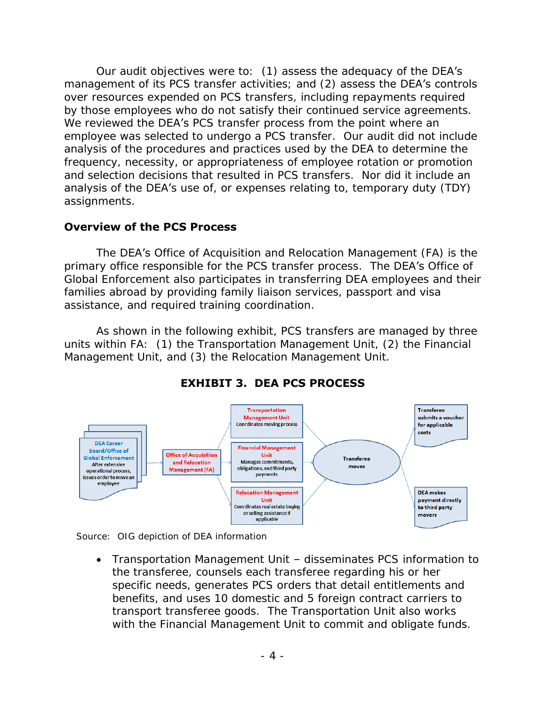Our audit objectives were to:  $(1)$  assess the adequacy of the DEA's management of its PCS transfer activities; and (2) assess the DEA's controls over resources expended on PCS transfers, including repayments required by those employees who do not satisfy their continued service agreements.<br>We reviewed **the DEA's** PCS transfer process from the point where an We reviewed the DEA's PCS transfer process from the point where an employee was selected to undergo a PCS transfer. Our audit did not include and selection decisions that resulted in PCS transfers. Nor did it include an analysis of the procedures and practices used by the DEA to determine the frequency, necessity, or appropriateness of employee rotation or promotion analysis of the DEA's use of, or expenses relating to, temporary duty (TDY) assignments.

#### <span id="page-7-0"></span>**Overview of the PCS Process**

The DEA's Office of Acquisition and Relocation Management (FA) is the primary office responsible for the PCS transfer process. The DEA's Office of Global Enforcement also participates in transferring DEA employees and their families abroad by providing family liaison services, passport and visa assistance, and required training coordination.

 units within FA: (1) the Transportation Management Unit, (2) the Financial Management Unit, and (3) the Relocation Management Unit. As shown in the following exhibit, PCS transfers are managed by three



# **EXHIBIT 3. DEA PCS PROCESS**

Source: OIG depiction of DEA information

 Transportation Management Unit – disseminates PCS information to the transferee, counsels each transferee regarding his or her benefits, and uses 10 domestic and 5 foreign contract carriers to transport transferee goods. The Transportation Unit also works with the Financial Management Unit to commit and obligate funds. specific needs, generates PCS orders that detail entitlements and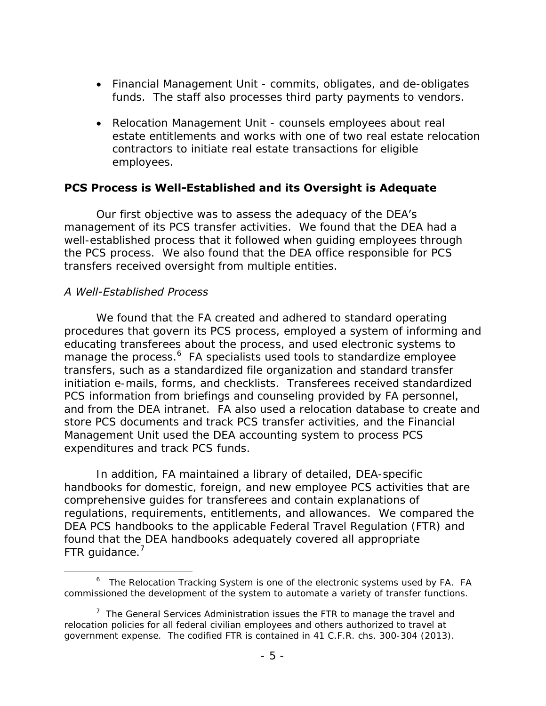- Financial Management Unit commits, obligates, and de-obligates funds. The staff also processes third party payments to vendors.
- Relocation Management Unit counsels employees about real estate entitlements and works with one of two real estate relocation employees. contractors to initiate real estate transactions for eligible

#### <span id="page-8-0"></span>**PCS Process is Well-Established and its Oversight is Adequate**

 management of its PCS transfer activities. We found that the DEA had a well-established process that it followed when guiding employees through the PCS process. We also found that the DEA office responsible for PCS transfers received oversight from multiple entities. Our first objective was to assess the adequacy of the DEA's

#### *A Well-Established Process*

 $\overline{a}$ 

 We found that the FA created and adhered to standard operating educating transferees about the process, and used electronic systems to manage the process.<sup>6</sup> FA specialists used tools to standardize employee initiation e-mails, forms, and checklists. Transferees received standardized and from the DEA intranet. FA also used a relocation database to create and procedures that govern its PCS process, employed a system of informing and transfers, such as a standardized file organization and standard transfer PCS information from briefings and counseling provided by FA personnel, store PCS documents and track PCS transfer activities, and the Financial Management Unit used the DEA accounting system to process PCS expenditures and track PCS funds.

 In addition, FA maintained a library of detailed, DEA-specific handbooks for domestic, foreign, and new employee PCS activities that are comprehensive guides for transferees and contain explanations of regulations, requirements, entitlements, and allowances. We compared the DEA PCS handbooks to the applicable Federal Travel Regulation (FTR) and found that the DEA handbooks adequately covered all appropriate FTR guidance.<sup>7</sup>

 $6$  The Relocation Tracking System is one of the electronic systems used by FA. FA commissioned the development of the system to automate a variety of transfer functions.

 $7$  The General Services Administration issues the FTR to manage the travel and relocation policies for all federal civilian employees and others authorized to travel at government expense. The codified FTR is contained in 41 C.F.R. chs. 300-304 (2013).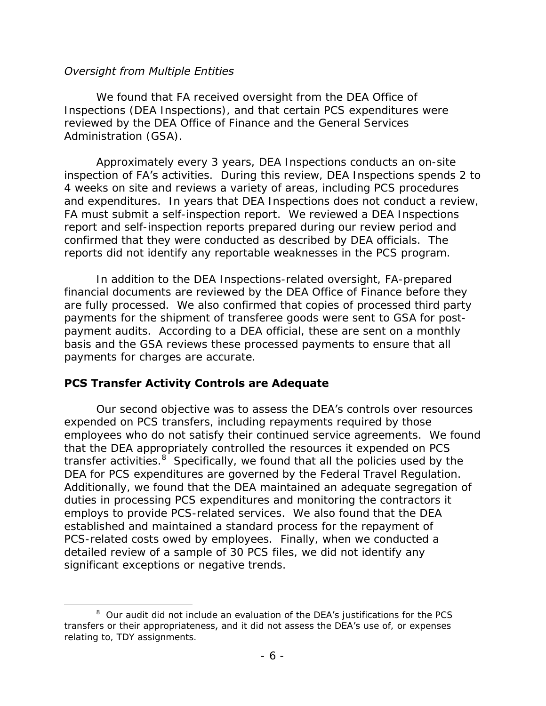#### *Oversight from Multiple Entities*

 We found that FA received oversight from the DEA Office of Inspections (DEA Inspections), and that certain PCS expenditures were reviewed by the DEA Office of Finance and the General Services Administration (GSA).

 Approximately every 3 years, DEA Inspections conducts an on-site inspection of FA's activities. During this review, DEA Inspections spends 2 to 4 weeks on site and reviews a variety of areas, including PCS procedures and expenditures. In years that DEA Inspections does not conduct a review, FA must submit a self-inspection report. We reviewed a DEA Inspections confirmed that they were conducted as described by DEA officials. The report and self-inspection reports prepared during our review period and

 reports did not identify any reportable weaknesses in the PCS program. In addition to the DEA Inspections-related oversight, FA-prepared are fully processed. We also confirmed that copies of processed third party payments for the shipment of transferee goods were sent to GSA for post- payment audits. According to a DEA official, these are sent on a monthly financial documents are reviewed by the DEA Office of Finance before they basis and the GSA reviews these processed payments to ensure that all payments for charges are accurate.

### <span id="page-9-0"></span>**PCS Transfer Activity Controls are Adequate**

 $\overline{a}$ 

 employees who do not satisfy their continued service agreements. We found that the DEA appropriately controlled the resources it expended on PCS transfer activities.<sup>8</sup> Specifically, we found that all the policies used by the DEA for PCS expenditures are governed by the Federal Travel Regulation. DEA for PCS expenditures are governed by the Federal Travel Regulation.<br>Additionally, we found that the DEA maintained an adequate segregation of duties in processing PCS expenditures and monitoring the contractors it employs to provide PCS-related services. We also found that the DEA detailed review of a sample of 30 PCS files, we did not identify any significant exceptions or negative trends. significant exceptions or negative trends.<br>
8 Our audit did not include an evaluation of the DEA's justifications for the PCS Our second objective was to assess the DEA's controls over resources expended on PCS transfers, including repayments required by those established and maintained a standard process for the repayment of PCS-related costs owed by employees. Finally, when we conducted a

transfers or their appropriateness, and it did not assess the DEA's use of, or expenses relating to, TDY assignments.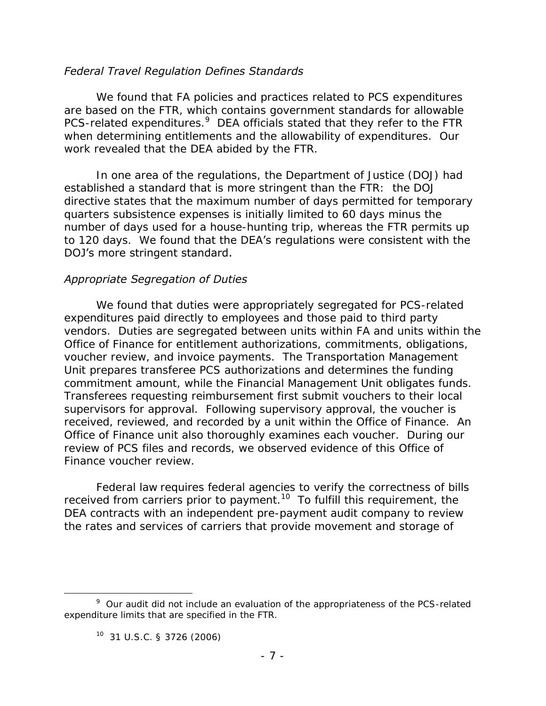#### *Federal Travel Regulation Defines Standards*

 are based on the FTR, which contains government standards for allowable PCS-related expenditures.<sup>9</sup> DEA officials stated that they refer to the FTR when determining entitlements and the allowability of expenditures. Our work revealed that the DEA abided by the FTR. We found that FA policies and practices related to PCS expenditures

 established a standard that is more stringent than the FTR: the DOJ to 120 days. We found that the DEA's regulations were consistent with the DOJ's more stringent standard. In one area of the regulations, the Department of Justice (DOJ) had directive states that the maximum number of days permitted for temporary quarters subsistence expenses is initially limited to 60 days minus the number of days used for a house-hunting trip, whereas the FTR permits up

#### *Appropriate Segregation of Duties*

 expenditures paid directly to employees and those paid to third party voucher review, and invoice payments. The Transportation Management commitment amount, while the Financial Management Unit obligates funds. supervisors for approval. Following supervisory approval, the voucher is review of PCS files and records, we observed evidence of this Office of We found that duties were appropriately segregated for PCS-related vendors. Duties are segregated between units within FA and units within the Office of Finance for entitlement authorizations, commitments, obligations, Unit prepares transferee PCS authorizations and determines the funding Transferees requesting reimbursement first submit vouchers to their local received, reviewed, and recorded by a unit within the Office of Finance. An Office of Finance unit also thoroughly examines each voucher. During our Finance voucher review.

received from carriers prior to payment.<sup>10</sup> To fulfill this requirement, the DEA contracts with an independent pre-payment audit company to review Federal law requires federal agencies to verify the correctness of bills the rates and services of carriers that provide movement and storage of

 $\overline{a}$ 

 $9$  Our audit did not include an evaluation of the appropriateness of the PCS-related expenditure limits that are specified in the FTR.

 $10$  31 U.S.C. § 3726 (2006)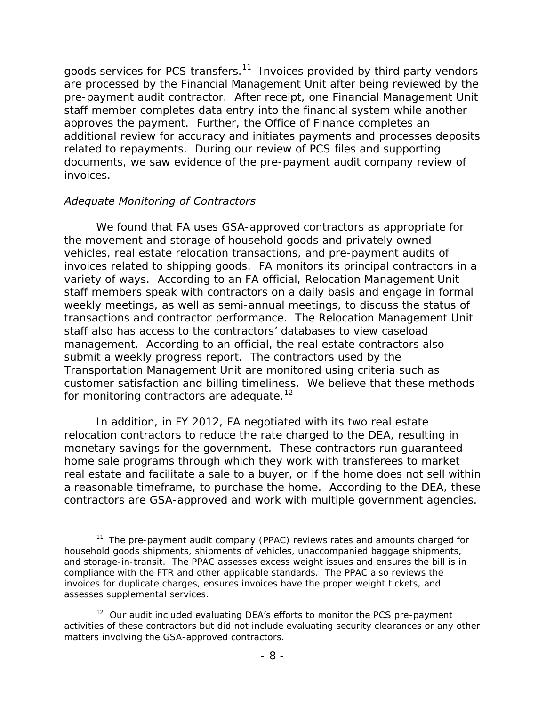goods services for PCS transfers.<sup>11</sup> Invoices provided by third party vendors pre-payment audit contractor. After receipt, one Financial Management Unit approves the payment. Further, the Office of Finance completes an related to repayments. During our review of PCS files and supporting are processed by the Financial Management Unit after being reviewed by the staff member completes data entry into the financial system while another additional review for accuracy and initiates payments and processes deposits documents, we saw evidence of the pre-payment audit company review of invoices.

#### *Adequate Monitoring of Contractors*

 $\overline{a}$ 

 invoices related to shipping goods. FA monitors its principal contractors in a staff members speak with contractors on a daily basis and engage in formal transactions and contractor performance. The Relocation Management Unit management. According to an official, the real estate contractors also submit a weekly progress report. The contractors used by the customer satisfaction and billing timeliness. We believe that these methods We found that FA uses GSA-approved contractors as appropriate for the movement and storage of household goods and privately owned vehicles, real estate relocation transactions, and pre-payment audits of variety of ways. According to an FA official, Relocation Management Unit weekly meetings, as well as semi-annual meetings, to discuss the status of staff also has access to the contractors' databases to view caseload Transportation Management Unit are monitored using criteria such as for monitoring contractors are adequate.<sup>12</sup>

 home sale programs through which they work with transferees to market real estate and facilitate a sale to a buyer, or if the home does not sell within a reasonable timeframe, to purchase the home. According to the DEA, these In addition, in FY 2012, FA negotiated with its two real estate relocation contractors to reduce the rate charged to the DEA, resulting in monetary savings for the government. These contractors run guaranteed contractors are GSA-approved and work with multiple government agencies.

 and storage-in-transit. The PPAC assesses excess weight issues and ensures the bill is in compliance with the FTR and other applicable standards. The PPAC also reviews the assesses supplemental services. <sup>11</sup> The pre-payment audit company (PPAC) reviews rates and amounts charged for household goods shipments, shipments of vehicles, unaccompanied baggage shipments, invoices for duplicate charges, ensures invoices have the proper weight tickets, and

 $12$  Our audit included evaluating DEA's efforts to monitor the PCS pre-payment activities of these contractors but did not include evaluating security clearances or any other matters involving the GSA-approved contractors.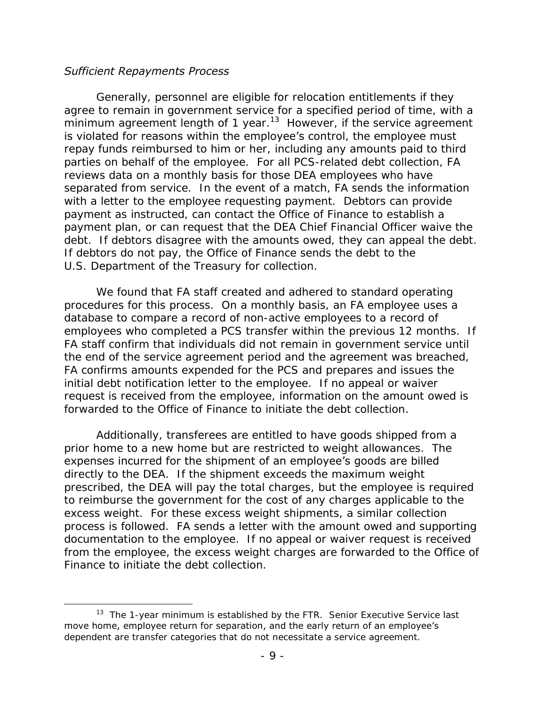#### *Sufficient Repayments Process*

 $\overline{a}$ 

minimum agreement length of 1 year.<sup>13</sup> However, if the service agreement repay funds reimbursed to him or her, including any amounts paid to third parties on behalf of the employee. For all PCS-related debt collection, FA separated from service. In the event of a match, FA sends the information with a letter to the employee requesting payment. Debtors can provide payment as instructed, can contact the Office of Finance to establish a debt. If debtors disagree with the amounts owed, they can appeal the debt. If debtors do not pay, the Office of Finance sends the debt to the U.S. Department of the Treasury for collection. Generally, personnel are eligible for relocation entitlements if they agree to remain in government service for a specified period of time, with a is violated for reasons within the employee's control, the employee must reviews data on a monthly basis for those DEA employees who have payment plan, or can request that the DEA Chief Financial Officer waive the

 procedures for this process. On a monthly basis, an FA employee uses a employees who completed a PCS transfer within the previous 12 months. If the end of the service agreement period and the agreement was breached, FA confirms amounts expended for the PCS and prepares and issues the initial debt notification letter to the employee. If no appeal or waiver forwarded to the Office of Finance to initiate the debt collection. We found that FA staff created and adhered to standard operating database to compare a record of non-active employees to a record of FA staff confirm that individuals did not remain in government service until request is received from the employee, information on the amount owed is

 prior home to a new home but are restricted to weight allowances. The directly to the DEA. If the shipment exceeds the maximum weight prescribed, the DEA will pay the total charges, but the employee is required to reimburse the government for the cost of any charges applicable to the excess weight. For these excess weight shipments, a similar collection process is followed. FA sends a letter with the amount owed and supporting documentation to the employee. If no appeal or waiver request is received Finance to initiate the debt collection. Finance to initiate the debt collection.<br>13 The 1-year minimum is established by the FTR. Senior Executive Service last Additionally, transferees are entitled to have goods shipped from a expenses incurred for the shipment of an employee's goods are billed from the employee, the excess weight charges are forwarded to the Office of

move home, employee return for separation, and the early return of an employee's dependent are transfer categories that do not necessitate a service agreement.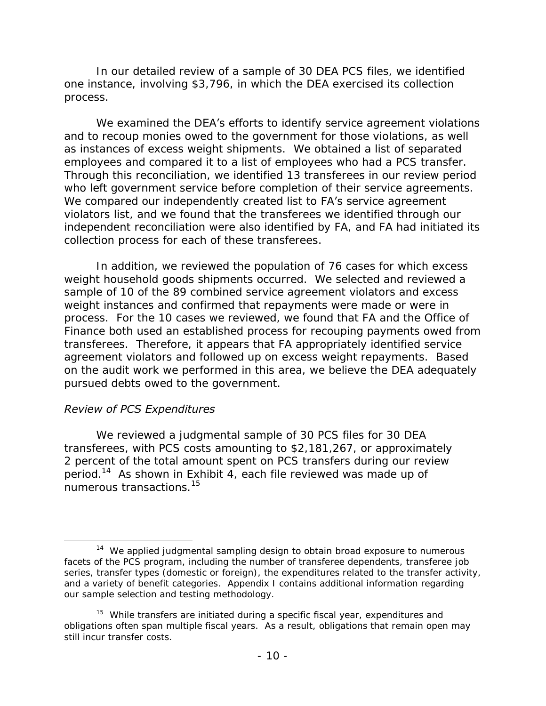In our detailed review of a sample of 30 DEA PCS files, we identified one instance, involving \$3,796, in which the DEA exercised its collection process. process.<br>We examined the **DEA's efforts to identify service agreement violations** 

 and to recoup monies owed to the government for those violations, as well as instances of excess weight shipments. We obtained a list of separated who left government service before completion of their service agreements. violators list, and we found that the transferees we identified through our collection process for each of these transferees. employees and compared it to a list of employees who had a PCS transfer. Through this reconciliation, we identified 13 transferees in our review period We compared our independently created list to FA's service agreement independent reconciliation were also identified by FA, and FA had initiated its

 weight household goods shipments occurred. We selected and reviewed a process. For the 10 cases we reviewed, we found that FA and the Office of Finance both used an established process for recouping payments owed from transferees. Therefore, it appears that FA appropriately identified service agreement violators and followed up on excess weight repayments. Based on the audit work we performed in this area, we believe the DEA adequately In addition, we reviewed the population of 76 cases for which excess sample of 10 of the 89 combined service agreement violators and excess weight instances and confirmed that repayments were made or were in pursued debts owed to the government.

#### *Review of PCS Expenditures*

 transferees, with PCS costs amounting to \$2,181,267, or approximately period.<sup>14</sup> As shown in Exhibit 4, each file reviewed was made up of numerous transactions.<sup>15</sup> We reviewed a judgmental sample of 30 PCS files for 30 DEA 2 percent of the total amount spent on PCS transfers during our review

 $\overline{a}$  $14$  We applied judgmental sampling design to obtain broad exposure to numerous facets of the PCS program, including the number of transferee dependents, transferee job and a variety of benefit categories. Appendix I contains additional information regarding our sample selection and testing methodology. series, transfer types (domestic or foreign), the expenditures related to the transfer activity,

our sample selection and testing methodology.<br><sup>15</sup> While transfers are initiated during a specific fiscal year, expenditures and obligations often span multiple fiscal years. As a result, obligations that remain open may still incur transfer costs.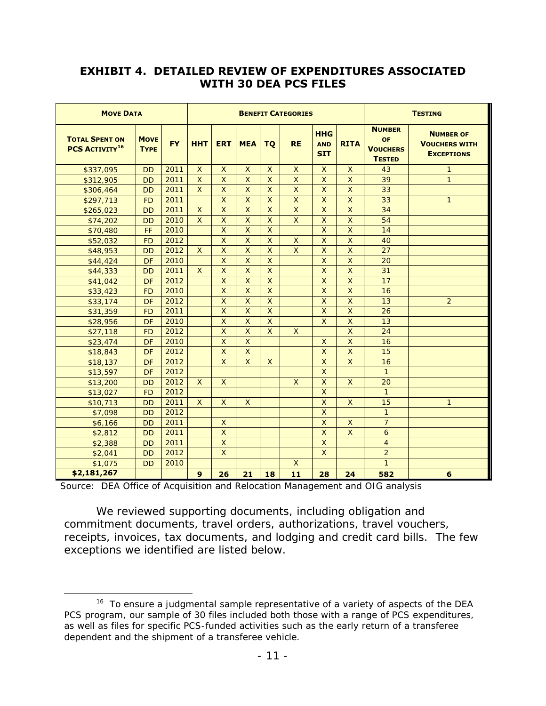### **EXHIBIT 4. DETAILED REVIEW OF EXPENDITURES ASSOCIATED WITH 30 DEA PCS FILES**

| <b>MOVE DATA</b>                                          |                            |           | <b>BENEFIT CATEGORIES</b> |            |            |           |             | <b>TESTING</b>                         |             |                                                         |                                                               |
|-----------------------------------------------------------|----------------------------|-----------|---------------------------|------------|------------|-----------|-------------|----------------------------------------|-------------|---------------------------------------------------------|---------------------------------------------------------------|
| <b>TOTAL SPENT ON</b><br><b>PCS ACTIVITY<sup>16</sup></b> | <b>MOVE</b><br><b>TYPE</b> | <b>FY</b> | <b>HHT</b>                | <b>ERT</b> | <b>MEA</b> | <b>TQ</b> | <b>RE</b>   | <b>HHG</b><br><b>AND</b><br><b>SIT</b> | <b>RITA</b> | <b>NUMBER</b><br>OF<br><b>VOUCHERS</b><br><b>TESTED</b> | <b>NUMBER OF</b><br><b>VOUCHERS WITH</b><br><b>EXCEPTIONS</b> |
| \$337,095                                                 | <b>DD</b>                  | 2011      | $\times$                  | $\times$   | $\times$   | $\times$  | $\times$    | X                                      | $\times$    | 43                                                      | 1                                                             |
| \$312,905                                                 | <b>DD</b>                  | 2011      | $\times$                  | $\times$   | $\times$   | $\times$  | $\times$    | $\times$                               | $\times$    | 39                                                      | $\mathbf{1}$                                                  |
| \$306,464                                                 | <b>DD</b>                  | 2011      | $\times$                  | $\times$   | $\times$   | $\times$  | $\mathsf X$ | $\times$                               | $\mathsf X$ | 33                                                      |                                                               |
| \$297,713                                                 | <b>FD</b>                  | 2011      |                           | $\times$   | $\times$   | $\times$  | $\times$    | $\times$                               | $\times$    | 33                                                      | $\mathbf{1}$                                                  |
| \$265,023                                                 | <b>DD</b>                  | 2011      | $\times$                  | $\times$   | $\times$   | $\times$  | $\times$    | $\times$                               | $\times$    | 34                                                      |                                                               |
| \$74,202                                                  | <b>DD</b>                  | 2010      | $\times$                  | $\times$   | $\times$   | $\times$  | $\times$    | $\times$                               | $\times$    | 54                                                      |                                                               |
| \$70,480                                                  | FF                         | 2010      |                           | $\times$   | $\times$   | $\times$  |             | $\mathsf X$                            | $\mathsf X$ | 14                                                      |                                                               |
| \$52,032                                                  | <b>FD</b>                  | 2012      |                           | $\times$   | $\times$   | $\times$  | $\times$    | X                                      | $\mathsf X$ | 40                                                      |                                                               |
| \$48,953                                                  | <b>DD</b>                  | 2012      | $\times$                  | $\times$   | $\times$   | $\times$  | $\times$    | $\times$                               | $\mathsf X$ | 27                                                      |                                                               |
| \$44,424                                                  | DF                         | 2010      |                           | $\times$   | $\times$   | $\times$  |             | $\times$                               | $\times$    | 20                                                      |                                                               |
| \$44,333                                                  | <b>DD</b>                  | 2011      | $\times$                  | $\times$   | $\times$   | $\times$  |             | $\times$                               | $\times$    | 31                                                      |                                                               |
| \$41,042                                                  | DF                         | 2012      |                           | $\times$   | $\times$   | $\times$  |             | $\mathsf X$                            | $\times$    | 17                                                      |                                                               |
| \$33,423                                                  | <b>FD</b>                  | 2010      |                           | $\times$   | $\times$   | $\times$  |             | $\mathsf X$                            | $\mathsf X$ | 16                                                      |                                                               |
| \$33,174                                                  | DF                         | 2012      |                           | $\times$   | $\times$   | $\times$  |             | $\mathsf X$                            | $\times$    | 13                                                      | $\overline{2}$                                                |
| \$31,359                                                  | FD                         | 2011      |                           | $\times$   | $\times$   | $\times$  |             | $\mathsf X$                            | $\times$    | 26                                                      |                                                               |
| \$28,956                                                  | DF                         | 2010      |                           | $\times$   | $\times$   | $\times$  |             | $\times$                               | $\mathsf X$ | 13                                                      |                                                               |
| \$27,118                                                  | <b>FD</b>                  | 2012      |                           | $\times$   | $\times$   | $\times$  | X           |                                        | $\times$    | 24                                                      |                                                               |
| \$23,474                                                  | DF                         | 2010      |                           | $\times$   | $\times$   |           |             | X                                      | $\times$    | 16                                                      |                                                               |
| \$18,843                                                  | DF                         | 2012      |                           | $\times$   | $\times$   |           |             | $\times$                               | $\times$    | 15                                                      |                                                               |
| \$18,137                                                  | DF                         | 2012      |                           | $\times$   | X          | $\times$  |             | $\times$                               | $\times$    | 16                                                      |                                                               |
| \$13,597                                                  | DF                         | 2012      |                           |            |            |           |             | $\times$                               |             | $\mathbf{1}$                                            |                                                               |
| \$13,200                                                  | <b>DD</b>                  | 2012      | $\times$                  | $\times$   |            |           | $\times$    | $\mathsf X$                            | $\times$    | 20                                                      |                                                               |
| \$13,027                                                  | <b>FD</b>                  | 2012      |                           |            |            |           |             | $\mathsf X$                            |             | $\mathbf{1}$                                            |                                                               |
| \$10,713                                                  | <b>DD</b>                  | 2011      | $\times$                  | $\times$   | $\times$   |           |             | $\mathsf X$                            | $\times$    | 15                                                      | $\mathbf{1}$                                                  |
| \$7,098                                                   | <b>DD</b>                  | 2012      |                           |            |            |           |             | $\mathsf X$                            |             | 1                                                       |                                                               |
| \$6,166                                                   | <b>DD</b>                  | 2011      |                           | $\times$   |            |           |             | $\mathsf X$                            | $\times$    | $\overline{7}$                                          |                                                               |
| \$2,812                                                   | <b>DD</b>                  | 2011      |                           | $\times$   |            |           |             | $\times$                               | X           | 6                                                       |                                                               |
| \$2,388                                                   | <b>DD</b>                  | 2011      |                           | $\times$   |            |           |             | $\times$                               |             | $\overline{4}$                                          |                                                               |
| \$2,041                                                   | <b>DD</b>                  | 2012      |                           | $\times$   |            |           |             | $\mathsf X$                            |             | $\overline{2}$                                          |                                                               |
| \$1,075                                                   | <b>DD</b>                  | 2010      |                           |            |            |           | $\times$    |                                        |             | $\mathbf{1}$                                            |                                                               |
| \$2,181,267                                               |                            |           | $\mathbf{9}$              | 26         | 21         | 18        | 11          | 28                                     | 24          | 582                                                     | 6                                                             |

Source: DEA Office of Acquisition and Relocation Management and OIG analysis

 $\overline{a}$ 

 We reviewed supporting documents, including obligation and receipts, invoices, tax documents, and lodging and credit card bills. The few exceptions we identified are listed below. commitment documents, travel orders, authorizations, travel vouchers,

 $16$  To ensure a judgmental sample representative of a variety of aspects of the DEA PCS program, our sample of 30 files included both those with a range of PCS expenditures, dependent and the shipment of a transferee vehicle.<br>- 11 as well as files for specific PCS-funded activities such as the early return of a transferee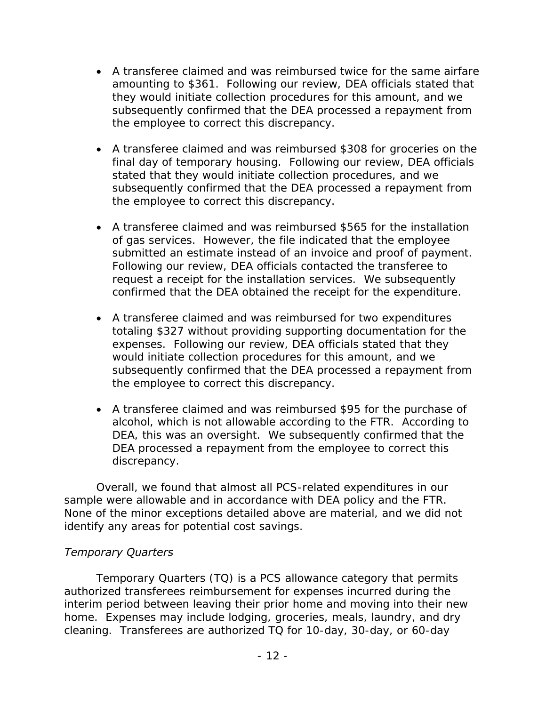- amounting to \$361. Following our review, DEA officials stated that the employee to correct this discrepancy. A transferee claimed and was reimbursed twice for the same airfare they would initiate collection procedures for this amount, and we subsequently confirmed that the DEA processed a repayment from
- final day of temporary housing. Following our review, DEA officials stated that they would initiate collection procedures, and we the employee to correct this discrepancy. A transferee claimed and was reimbursed \$308 for groceries on the subsequently confirmed that the DEA processed a repayment from
- of gas services. However, the file indicated that the employee submitted an estimate instead of an invoice and proof of payment.<br>Following our review, DEA officials contacted the transferee to confirmed that the DEA obtained the receipt for the expenditure. A transferee claimed and was reimbursed \$565 for the installation request a receipt for the installation services. We subsequently
- expenses. Following our review, DEA officials stated that they A transferee claimed and was reimbursed for two expenditures totaling \$327 without providing supporting documentation for the would initiate collection procedures for this amount, and we subsequently confirmed that the DEA processed a repayment from the employee to correct this discrepancy.
- alcohol, which is not allowable according to the FTR. According to DEA, this was an oversight. We subsequently confirmed that the A transferee claimed and was reimbursed \$95 for the purchase of DEA processed a repayment from the employee to correct this discrepancy.

 sample were allowable and in accordance with DEA policy and the FTR. Overall, we found that almost all PCS-related expenditures in our None of the minor exceptions detailed above are material, and we did not identify any areas for potential cost savings.

### *Temporary Quarters*

 Temporary Quarters (TQ) is a PCS allowance category that permits home. Expenses may include lodging, groceries, meals, laundry, and dry cleaning. Transferees are authorized TQ for 10-day, 30-day, or 60-day authorized transferees reimbursement for expenses incurred during the interim period between leaving their prior home and moving into their new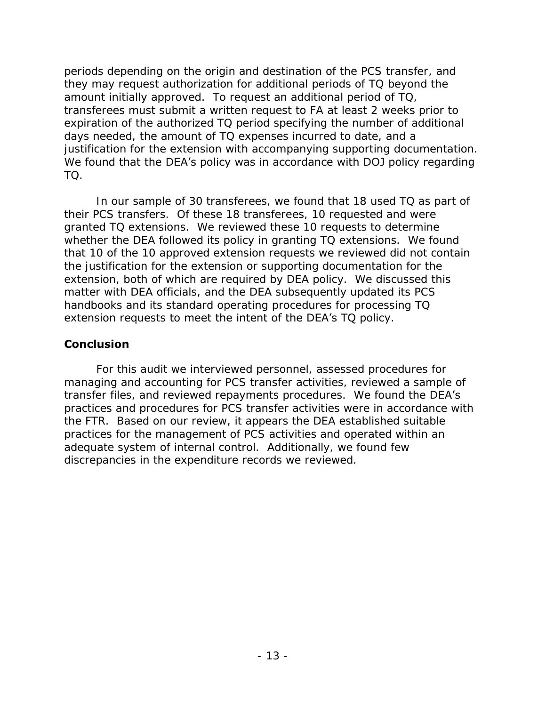amount initially approved. To request an additional period of TQ, transferees must submit a written request to FA at least 2 weeks prior to expiration of the authorized TQ period specifying the number of additional justification for the extension with accompanying supporting documentation. TO. periods depending on the origin and destination of the PCS transfer, and they may request authorization for additional periods of TQ beyond the days needed, the amount of TQ expenses incurred to date, and a We found that the DEA's policy was in accordance with DOJ policy regarding

 their PCS transfers. Of these 18 transferees, 10 requested and were granted TQ extensions. We reviewed these 10 requests to determine whether the DEA followed its policy in granting TQ extensions. We found that 10 of the 10 approved extension requests we reviewed did not contain extension, both of which are required by DEA policy. We discussed this matter with DEA officials, and the DEA subsequently updated its PCS extension requests to meet the intent of the DEA's TQ policy. In our sample of 30 transferees, we found that 18 used TQ as part of the justification for the extension or supporting documentation for the handbooks and its standard operating procedures for processing TQ

#### <span id="page-16-0"></span>**Conclusion**

transfer files, and reviewed repayments procedures. We found the DEA's the FTR. Based on our review, it appears the DEA established suitable practices for the management of PCS activities and operated within an discrepancies in the expenditure records we reviewed. For this audit we interviewed personnel, assessed procedures for managing and accounting for PCS transfer activities, reviewed a sample of practices and procedures for PCS transfer activities were in accordance with adequate system of internal control. Additionally, we found few discrepancies in the expenditure records we reviewed.<br> $-13 -$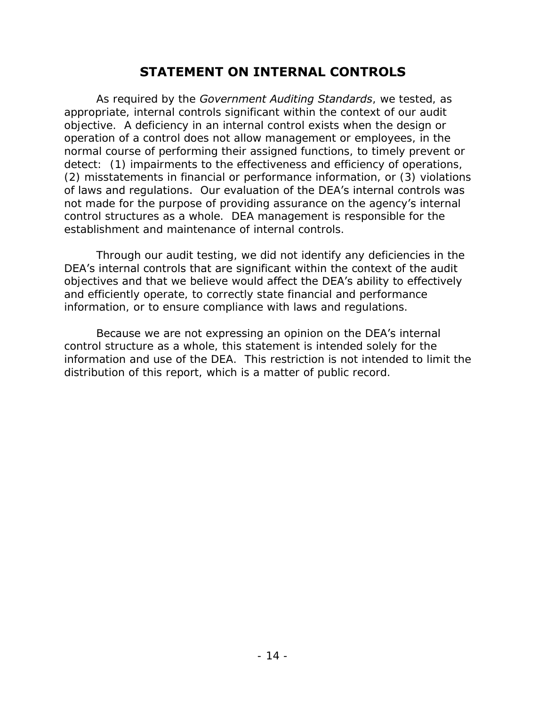# **STATEMENT ON INTERNAL CONTROLS**

<span id="page-17-0"></span> objective. A deficiency in an internal control exists when the design or detect: (1) impairments to the effectiveness and efficiency of operations, (2) misstatements in financial or performance information, or (3) violations of laws and regulations. Our evaluation of the DEA's internal controls was not made for the purpose of providing assurance on the agency's internal As required by the *Government Auditing Standards*, we tested, as appropriate, internal controls significant within the context of our audit operation of a control does not allow management or employees, in the normal course of performing their assigned functions, to timely prevent or control structures as a whole. DEA management is responsible for the establishment and maintenance of internal controls.

 Through our audit testing, we did not identify any deficiencies in the information, or to ensure compliance with laws and regulations. DEA's internal controls that are significant within the context of the audit objectives and that we believe would affect the DEA's ability to effectively and efficiently operate, to correctly state financial and performance

 information and use of the DEA. This restriction is not intended to limit the distribution of this report, which is a matter of public record. Because we are not expressing an opinion on the DEA's internal control structure as a whole, this statement is intended solely for the distribution of this report, which is a matter of public record.<br> - 14 -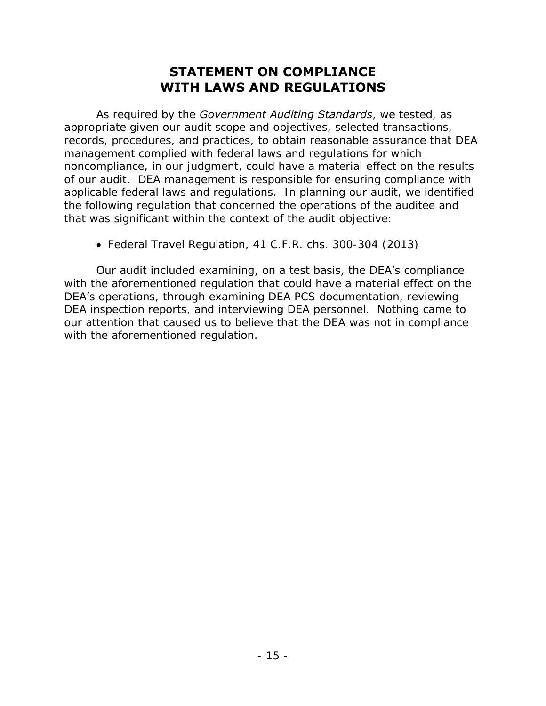# **STATEMENT ON COMPLIANCE WITH LAWS AND REGULATIONS**

<span id="page-18-1"></span><span id="page-18-0"></span> of our audit. DEA management is responsible for ensuring compliance with As required by the *Government Auditing Standards*, we tested, as appropriate given our audit scope and objectives, selected transactions, records, procedures, and practices, to obtain reasonable assurance that DEA management complied with federal laws and regulations for which noncompliance, in our judgment, could have a material effect on the results applicable federal laws and regulations. In planning our audit, we identified the following regulation that concerned the operations of the auditee and that was significant within the context of the audit objective:

Federal Travel Regulation, 41 C.F.R. chs. 300-304 (2013)

 DEA inspection reports, and interviewing DEA personnel. Nothing came to with the aforementioned regulation. Our audit included examining, on a test basis, the DEA's compliance with the aforementioned regulation that could have a material effect on the DEA's operations, through examining DEA PCS documentation, reviewing our attention that caused us to believe that the DEA was not in compliance with the aforementioned regulation.<br>
- 15 -<br>
- 15 -<br>
- 15 -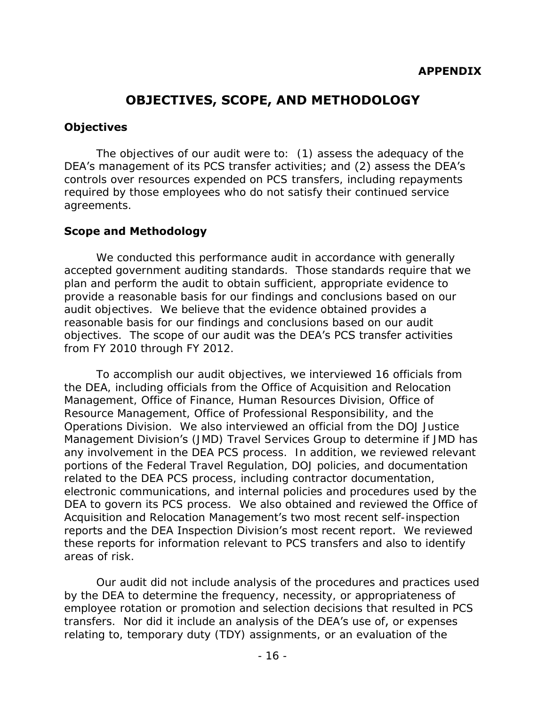# **OBJECTIVES, SCOPE, AND METHODOLOGY**

#### <span id="page-19-0"></span>**Objectives**

 The objectives of our audit were to: (1) assess the adequacy of the DEA's management of its PCS transfer activities; and (2) assess the DEA's controls over resources expended on PCS transfers, including repayments required by those employees who do not satisfy their continued service agreements.

#### **Scope and Methodology**

 accepted government auditing standards. Those standards require that we audit objectives. We believe that the evidence obtained provides a reasonable basis for our findings and conclusions based on our audit objectives. The scope of our audit was the DEA's PCS transfer activities We conducted this performance audit in accordance with generally plan and perform the audit to obtain sufficient, appropriate evidence to provide a reasonable basis for our findings and conclusions based on our from FY 2010 through FY 2012.

 To accomplish our audit objectives, we interviewed 16 officials from the DEA, including officials from the Office of Acquisition and Relocation Resource Management, Office of Professional Responsibility, and the Operations Division. We also interviewed an official from the DOJ Justice Management Division's (JMD) Travel Services Group to determine if JMD has any involvement in the DEA PCS process. In addition, we reviewed relevant portions of the Federal Travel Regulation, DOJ policies, and documentation DEA to govern its PCS process. We also obtained and reviewed the Office of reports and the DEA Inspection Division's most recent report. We reviewed these reports for information relevant to PCS transfers and also to identify areas of risk. Management, Office of Finance, Human Resources Division, Office of related to the DEA PCS process, including contractor documentation, electronic communications, and internal policies and procedures used by the Acquisition and Relocation Management's two most recent self-inspection

 employee rotation or promotion and selection decisions that resulted in PCS Our audit did not include analysis of the procedures and practices used by the DEA to determine the frequency, necessity, or appropriateness of transfers. Nor did it include an analysis of the DEA's use of, or expenses relating to, temporary duty (TDY) assignments, or an evaluation of the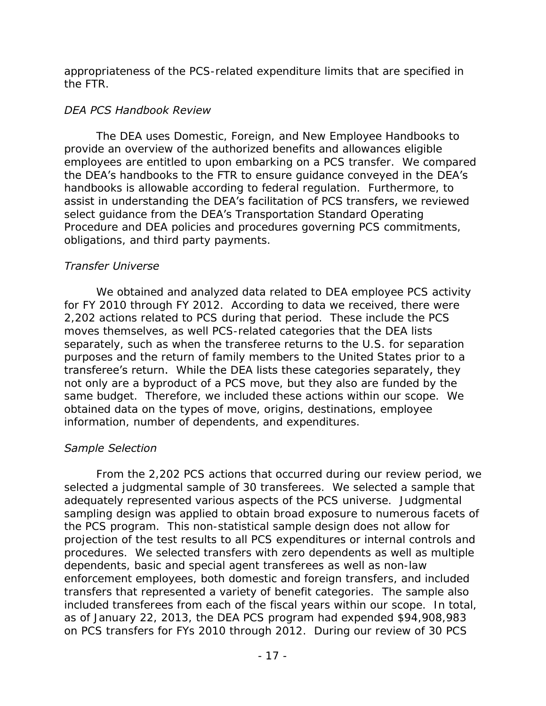appropriateness of the PCS-related expenditure limits that are specified in the FTR.

### *DEA PCS Handbook Review*

 The DEA uses Domestic, Foreign, and New Employee Handbooks to handbooks is allowable according to federal regulation. Furthermore, to assist in understanding the DEA's facilitation of PCS transfers, we reviewed obligations, and third party payments. provide an overview of the authorized benefits and allowances eligible employees are entitled to upon embarking on a PCS transfer. We compared the DEA's handbooks to the FTR to ensure guidance conveyed in the DEA's select guidance from the DEA's Transportation Standard Operating Procedure and DEA policies and procedures governing PCS commitments,

## *Transfer Universe*

 for FY 2010 through FY 2012. According to data we received, there were 2,202 actions related to PCS during that period. These include the PCS moves themselves, as well PCS-related categories that the DEA lists purposes and the return of family members to the United States prior to a same budget. Therefore, we included these actions within our scope. We obtained data on the types of move, origins, destinations, employee We obtained and analyzed data related to DEA employee PCS activity separately, such as when the transferee returns to the U.S. for separation transferee's return. While the DEA lists these categories separately, they not only are a byproduct of a PCS move, but they also are funded by the information, number of dependents, and expenditures.

## *Sample Selection*

 From the 2,202 PCS actions that occurred during our review period, we selected a judgmental sample of 30 transferees. We selected a sample that the PCS program. This non-statistical sample design does not allow for projection of the test results to all PCS expenditures or internal controls and procedures. We selected transfers with zero dependents as well as multiple enforcement employees, both domestic and foreign transfers, and included transfers that represented a variety of benefit categories. The sample also included transferees from each of the fiscal years within our scope. In total, as of January 22, 2013, the DEA PCS program had expended \$94,908,983 on PCS transfers for FYs 2010 through 2012. During our review of 30 PCS adequately represented various aspects of the PCS universe. Judgmental sampling design was applied to obtain broad exposure to numerous facets of dependents, basic and special agent transferees as well as non-law